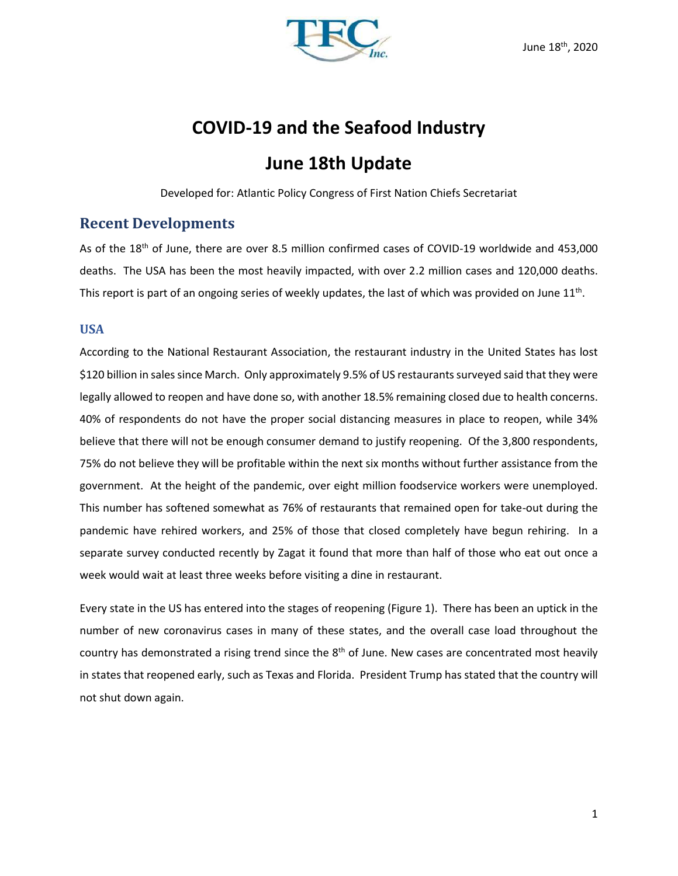

# **COVID-19 and the Seafood Industry**

# **June 18th Update**

Developed for: Atlantic Policy Congress of First Nation Chiefs Secretariat

## **Recent Developments**

As of the 18<sup>th</sup> of June, there are over 8.5 million confirmed cases of COVID-19 worldwide and 453,000 deaths. The USA has been the most heavily impacted, with over 2.2 million cases and 120,000 deaths. This report is part of an ongoing series of weekly updates, the last of which was provided on June 11<sup>th</sup>.

## **USA**

According to the National Restaurant Association, the restaurant industry in the United States has lost \$120 billion in sales since March. Only approximately 9.5% of US restaurants surveyed said that they were legally allowed to reopen and have done so, with another 18.5% remaining closed due to health concerns. 40% of respondents do not have the proper social distancing measures in place to reopen, while 34% believe that there will not be enough consumer demand to justify reopening. Of the 3,800 respondents, 75% do not believe they will be profitable within the next six months without further assistance from the government. At the height of the pandemic, over eight million foodservice workers were unemployed. This number has softened somewhat as 76% of restaurants that remained open for take-out during the pandemic have rehired workers, and 25% of those that closed completely have begun rehiring. In a separate survey conducted recently by Zagat it found that more than half of those who eat out once a week would wait at least three weeks before visiting a dine in restaurant.

Every state in the US has entered into the stages of reopening (Figure 1). There has been an uptick in the number of new coronavirus cases in many of these states, and the overall case load throughout the country has demonstrated a rising trend since the 8<sup>th</sup> of June. New cases are concentrated most heavily in states that reopened early, such as Texas and Florida. President Trump has stated that the country will not shut down again.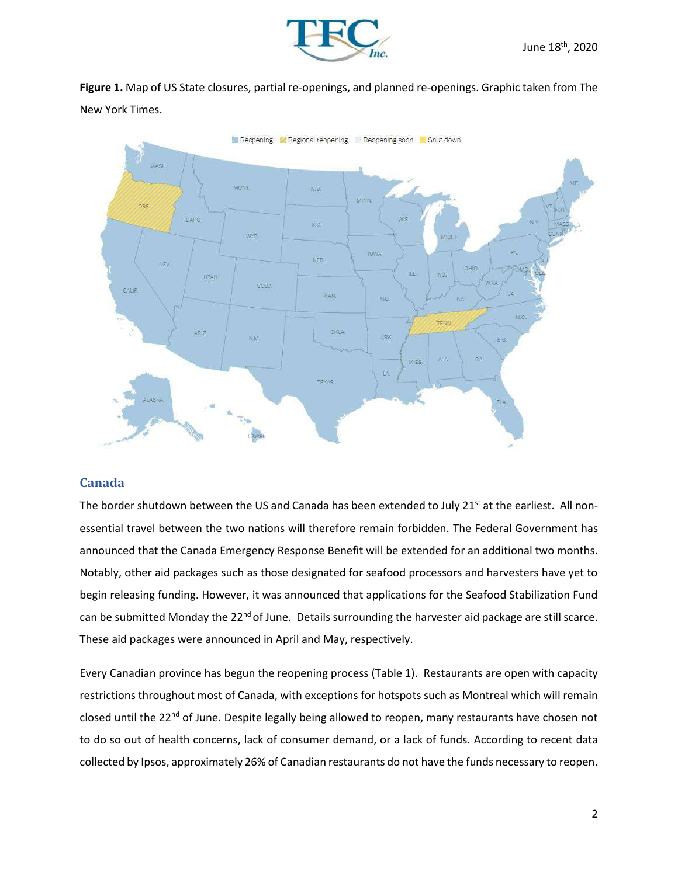

**Figure 1.** Map of US State closures, partial re-openings, and planned re-openings. Graphic taken from The New York Times.



## **Canada**

The border shutdown between the US and Canada has been extended to July 21<sup>st</sup> at the earliest. All nonessential travel between the two nations will therefore remain forbidden. The Federal Government has announced that the Canada Emergency Response Benefit will be extended for an additional two months. Notably, other aid packages such as those designated for seafood processors and harvesters have yet to begin releasing funding. However, it was announced that applications for the Seafood Stabilization Fund can be submitted Monday the 22<sup>nd</sup> of June. Details surrounding the harvester aid package are still scarce. These aid packages were announced in April and May, respectively.

Every Canadian province has begun the reopening process (Table 1). Restaurants are open with capacity restrictions throughout most of Canada, with exceptions for hotspots such as Montreal which will remain closed until the 22<sup>nd</sup> of June. Despite legally being allowed to reopen, many restaurants have chosen not to do so out of health concerns, lack of consumer demand, or a lack of funds. According to recent data collected by Ipsos, approximately 26% of Canadian restaurants do not have the funds necessary to reopen.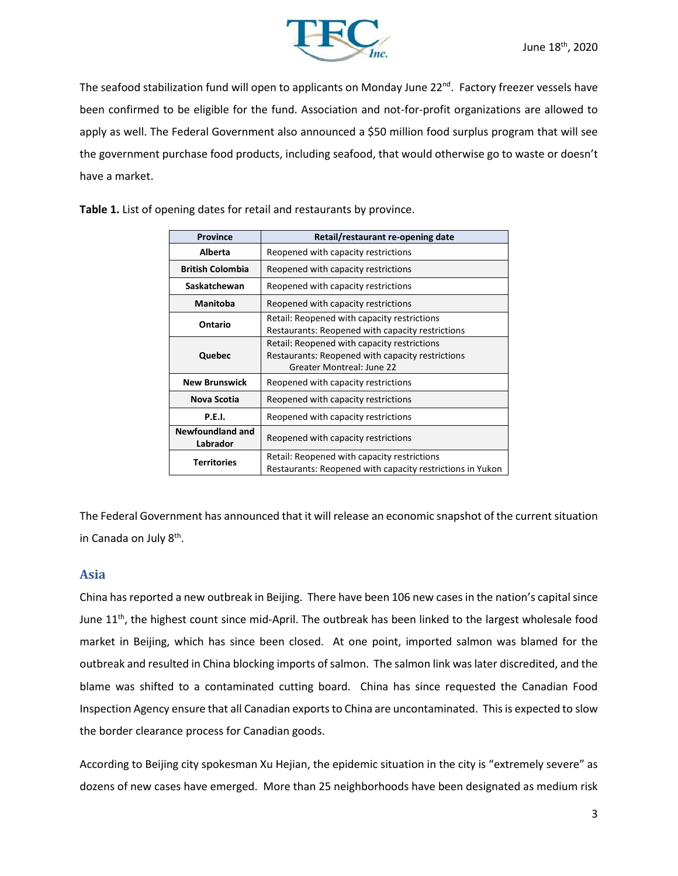

The seafood stabilization fund will open to applicants on Monday June 22<sup>nd</sup>. Factory freezer vessels have been confirmed to be eligible for the fund. Association and not-for-profit organizations are allowed to apply as well. The Federal Government also announced a \$50 million food surplus program that will see the government purchase food products, including seafood, that would otherwise go to waste or doesn't have a market.

| <b>Province</b>                     | Retail/restaurant re-opening date                                                                                            |  |  |  |
|-------------------------------------|------------------------------------------------------------------------------------------------------------------------------|--|--|--|
| Alberta                             | Reopened with capacity restrictions                                                                                          |  |  |  |
| <b>British Colombia</b>             | Reopened with capacity restrictions                                                                                          |  |  |  |
| Saskatchewan                        | Reopened with capacity restrictions                                                                                          |  |  |  |
| <b>Manitoba</b>                     | Reopened with capacity restrictions                                                                                          |  |  |  |
| Ontario                             | Retail: Reopened with capacity restrictions<br>Restaurants: Reopened with capacity restrictions                              |  |  |  |
| Quebec                              | Retail: Reopened with capacity restrictions<br>Restaurants: Reopened with capacity restrictions<br>Greater Montreal: June 22 |  |  |  |
| <b>New Brunswick</b>                | Reopened with capacity restrictions                                                                                          |  |  |  |
| Nova Scotia                         | Reopened with capacity restrictions                                                                                          |  |  |  |
| P.E.I.                              | Reopened with capacity restrictions                                                                                          |  |  |  |
| <b>Newfoundland and</b><br>Labrador | Reopened with capacity restrictions                                                                                          |  |  |  |
| <b>Territories</b>                  | Retail: Reopened with capacity restrictions<br>Restaurants: Reopened with capacity restrictions in Yukon                     |  |  |  |

**Table 1.** List of opening dates for retail and restaurants by province.

The Federal Government has announced that it will release an economic snapshot of the current situation in Canada on July 8<sup>th</sup>.

#### **Asia**

China has reported a new outbreak in Beijing. There have been 106 new cases in the nation's capital since June 11<sup>th</sup>, the highest count since mid-April. The outbreak has been linked to the largest wholesale food market in Beijing, which has since been closed. At one point, imported salmon was blamed for the outbreak and resulted in China blocking imports of salmon. The salmon link was later discredited, and the blame was shifted to a contaminated cutting board. China has since requested the Canadian Food Inspection Agency ensure that all Canadian exports to China are uncontaminated. This is expected to slow the border clearance process for Canadian goods.

According to Beijing city spokesman Xu Hejian, the epidemic situation in the city is "extremely severe" as dozens of new cases have emerged. More than 25 neighborhoods have been designated as medium risk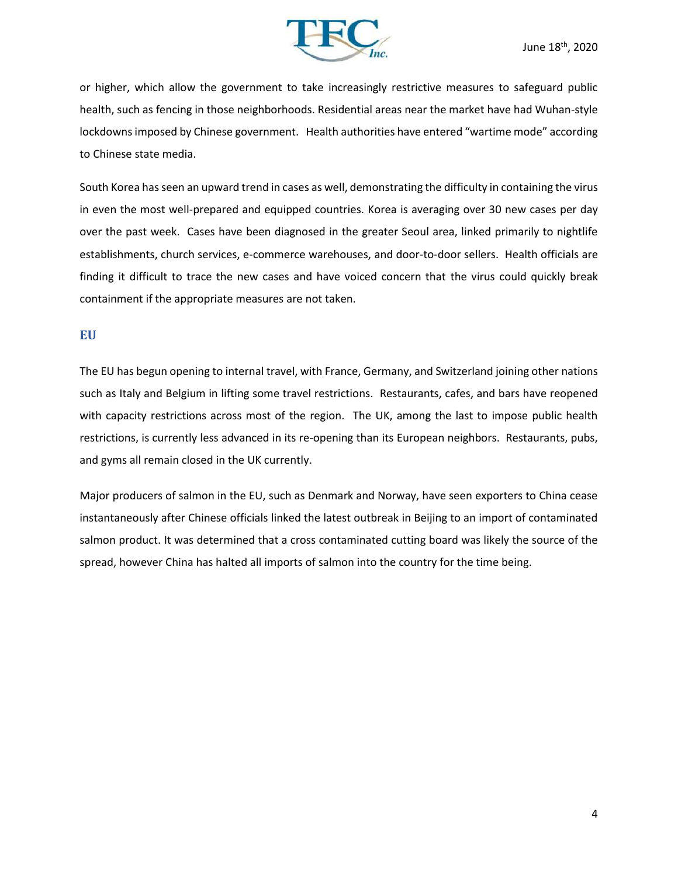

or higher, which allow the government to take increasingly restrictive measures to safeguard public health, such as fencing in those neighborhoods. Residential areas near the market have had Wuhan-style lockdowns imposed by Chinese government. Health authorities have entered "wartime mode" according to Chinese state media.

South Korea has seen an upward trend in cases as well, demonstrating the difficulty in containing the virus in even the most well-prepared and equipped countries. Korea is averaging over 30 new cases per day over the past week. Cases have been diagnosed in the greater Seoul area, linked primarily to nightlife establishments, church services, e-commerce warehouses, and door-to-door sellers. Health officials are finding it difficult to trace the new cases and have voiced concern that the virus could quickly break containment if the appropriate measures are not taken.

### **EU**

The EU has begun opening to internal travel, with France, Germany, and Switzerland joining other nations such as Italy and Belgium in lifting some travel restrictions. Restaurants, cafes, and bars have reopened with capacity restrictions across most of the region. The UK, among the last to impose public health restrictions, is currently less advanced in its re-opening than its European neighbors. Restaurants, pubs, and gyms all remain closed in the UK currently.

Major producers of salmon in the EU, such as Denmark and Norway, have seen exporters to China cease instantaneously after Chinese officials linked the latest outbreak in Beijing to an import of contaminated salmon product. It was determined that a cross contaminated cutting board was likely the source of the spread, however China has halted all imports of salmon into the country for the time being.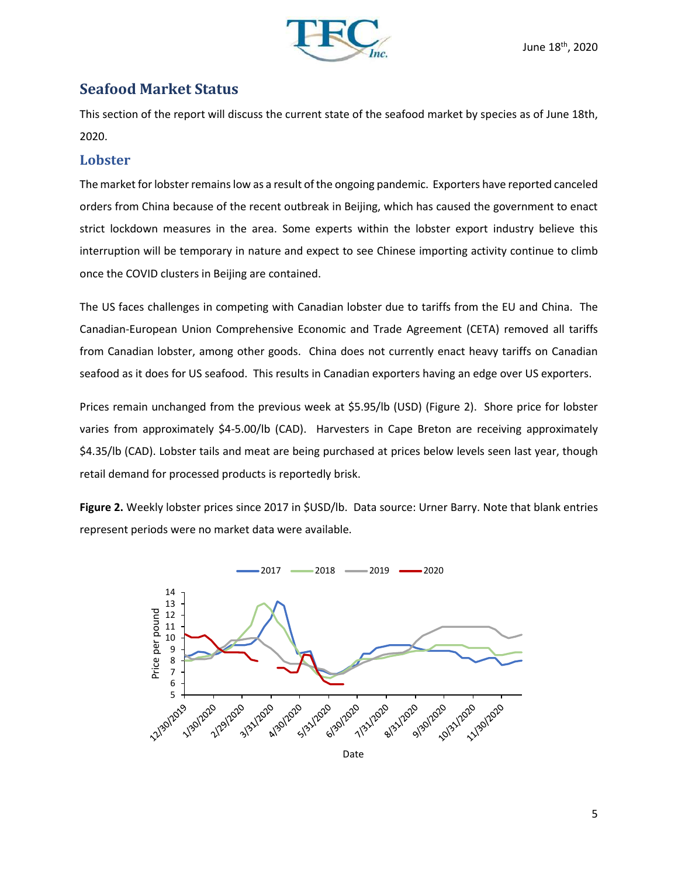

## **Seafood Market Status**

This section of the report will discuss the current state of the seafood market by species as of June 18th, 2020.

## **Lobster**

The market for lobster remains low as a result of the ongoing pandemic. Exporters have reported canceled orders from China because of the recent outbreak in Beijing, which has caused the government to enact strict lockdown measures in the area. Some experts within the lobster export industry believe this interruption will be temporary in nature and expect to see Chinese importing activity continue to climb once the COVID clusters in Beijing are contained.

The US faces challenges in competing with Canadian lobster due to tariffs from the EU and China. The Canadian-European Union Comprehensive Economic and Trade Agreement (CETA) removed all tariffs from Canadian lobster, among other goods. China does not currently enact heavy tariffs on Canadian seafood as it does for US seafood. This results in Canadian exporters having an edge over US exporters.

Prices remain unchanged from the previous week at \$5.95/lb (USD) (Figure 2). Shore price for lobster varies from approximately \$4-5.00/lb (CAD). Harvesters in Cape Breton are receiving approximately \$4.35/lb (CAD). Lobster tails and meat are being purchased at prices below levels seen last year, though retail demand for processed products is reportedly brisk.

**Figure 2.** Weekly lobster prices since 2017 in \$USD/lb. Data source: Urner Barry. Note that blank entries represent periods were no market data were available.

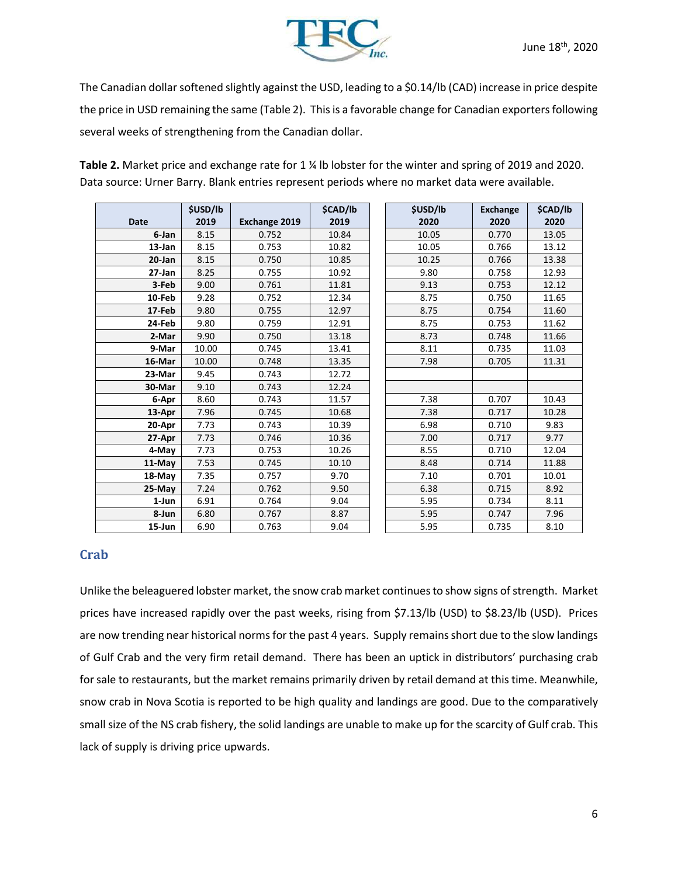

The Canadian dollar softened slightly against the USD, leading to a \$0.14/lb (CAD) increase in price despite the price in USD remaining the same (Table 2). This is a favorable change for Canadian exporters following several weeks of strengthening from the Canadian dollar.

|             | \$USD/lb |                      | \$CAD/lb | \$USD/lb | <b>Exchange</b> | \$CAD/lb |
|-------------|----------|----------------------|----------|----------|-----------------|----------|
| <b>Date</b> | 2019     | <b>Exchange 2019</b> | 2019     | 2020     | 2020            | 2020     |
| 6-Jan       | 8.15     | 0.752                | 10.84    | 10.05    | 0.770           | 13.05    |
| 13-Jan      | 8.15     | 0.753                | 10.82    | 10.05    | 0.766           | 13.12    |
| $20 - Jan$  | 8.15     | 0.750                | 10.85    | 10.25    | 0.766           | 13.38    |
| 27-Jan      | 8.25     | 0.755                | 10.92    | 9.80     | 0.758           | 12.93    |
| 3-Feb       | 9.00     | 0.761                | 11.81    | 9.13     | 0.753           | 12.12    |
| 10-Feb      | 9.28     | 0.752                | 12.34    | 8.75     | 0.750           | 11.65    |
| 17-Feb      | 9.80     | 0.755                | 12.97    | 8.75     | 0.754           | 11.60    |
| 24-Feb      | 9.80     | 0.759                | 12.91    | 8.75     | 0.753           | 11.62    |
| 2-Mar       | 9.90     | 0.750                | 13.18    | 8.73     | 0.748           | 11.66    |
| 9-Mar       | 10.00    | 0.745                | 13.41    | 8.11     | 0.735           | 11.03    |
| 16-Mar      | 10.00    | 0.748                | 13.35    | 7.98     | 0.705           | 11.31    |
| 23-Mar      | 9.45     | 0.743                | 12.72    |          |                 |          |
| 30-Mar      | 9.10     | 0.743                | 12.24    |          |                 |          |
| 6-Apr       | 8.60     | 0.743                | 11.57    | 7.38     | 0.707           | 10.43    |
| 13-Apr      | 7.96     | 0.745                | 10.68    | 7.38     | 0.717           | 10.28    |
| 20-Apr      | 7.73     | 0.743                | 10.39    | 6.98     | 0.710           | 9.83     |
| 27-Apr      | 7.73     | 0.746                | 10.36    | 7.00     | 0.717           | 9.77     |
| 4-May       | 7.73     | 0.753                | 10.26    | 8.55     | 0.710           | 12.04    |
| 11-May      | 7.53     | 0.745                | 10.10    | 8.48     | 0.714           | 11.88    |
| 18-May      | 7.35     | 0.757                | 9.70     | 7.10     | 0.701           | 10.01    |
| 25-May      | 7.24     | 0.762                | 9.50     | 6.38     | 0.715           | 8.92     |
| 1-Jun       | 6.91     | 0.764                | 9.04     | 5.95     | 0.734           | 8.11     |
| 8-Jun       | 6.80     | 0.767                | 8.87     | 5.95     | 0.747           | 7.96     |
| 15-Jun      | 6.90     | 0.763                | 9.04     | 5.95     | 0.735           | 8.10     |

**Table 2.** Market price and exchange rate for 1 ¼ lb lobster for the winter and spring of 2019 and 2020. Data source: Urner Barry. Blank entries represent periods where no market data were available.

## **Crab**

Unlike the beleaguered lobster market, the snow crab market continues to show signs of strength. Market prices have increased rapidly over the past weeks, rising from \$7.13/lb (USD) to \$8.23/lb (USD). Prices are now trending near historical norms for the past 4 years. Supply remains short due to the slow landings of Gulf Crab and the very firm retail demand. There has been an uptick in distributors' purchasing crab for sale to restaurants, but the market remains primarily driven by retail demand at this time. Meanwhile, snow crab in Nova Scotia is reported to be high quality and landings are good. Due to the comparatively small size of the NS crab fishery, the solid landings are unable to make up for the scarcity of Gulf crab. This lack of supply is driving price upwards.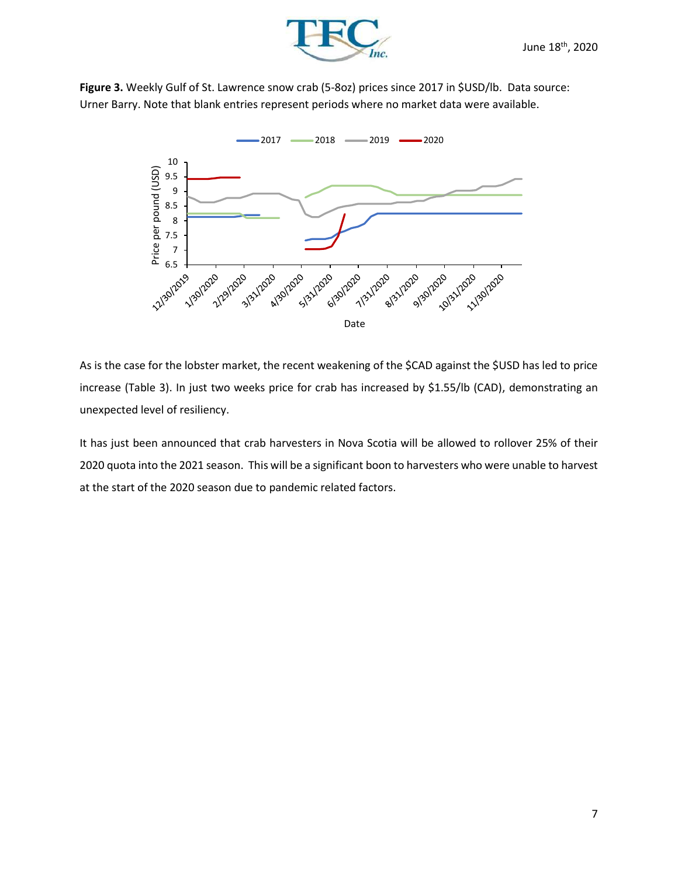

**Figure 3.** Weekly Gulf of St. Lawrence snow crab (5-8oz) prices since 2017 in \$USD/lb. Data source: Urner Barry. Note that blank entries represent periods where no market data were available.



As is the case for the lobster market, the recent weakening of the \$CAD against the \$USD has led to price increase (Table 3). In just two weeks price for crab has increased by \$1.55/lb (CAD), demonstrating an unexpected level of resiliency.

It has just been announced that crab harvesters in Nova Scotia will be allowed to rollover 25% of their 2020 quota into the 2021 season. This will be a significant boon to harvesters who were unable to harvest at the start of the 2020 season due to pandemic related factors.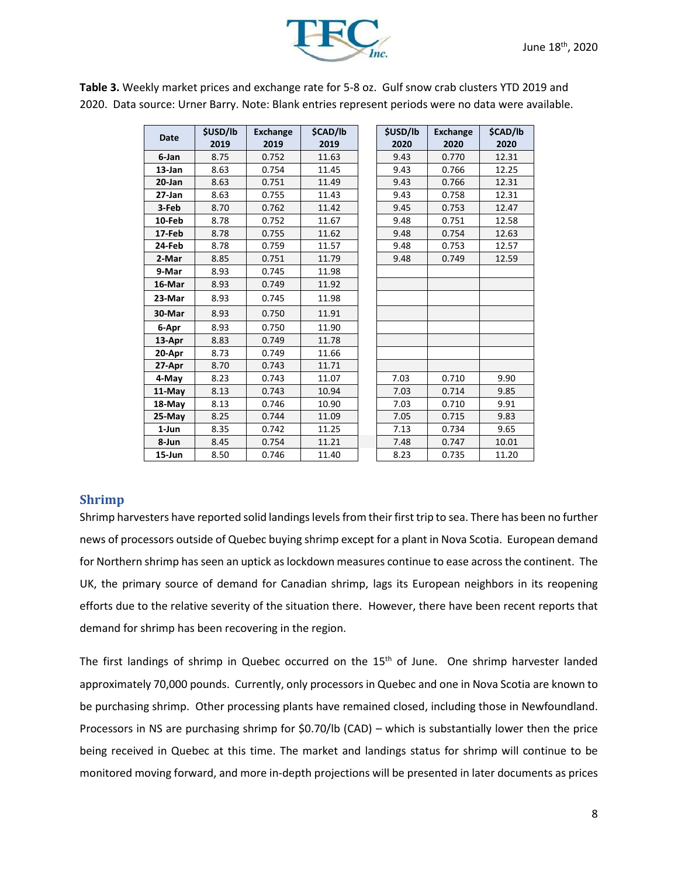

| <b>Date</b> | <b>\$USD/lb</b><br>2019 | <b>Exchange</b><br>2019 | <b>\$CAD/lb</b><br>2019 | <b>\$USD/lb</b><br>2020 | <b>Exchange</b><br>2020 | \$CAD/lb<br>2020 |
|-------------|-------------------------|-------------------------|-------------------------|-------------------------|-------------------------|------------------|
| 6-Jan       | 8.75                    | 0.752                   | 11.63                   | 9.43                    | 0.770                   | 12.31            |
| 13-Jan      | 8.63                    | 0.754                   | 11.45                   | 9.43                    | 0.766                   | 12.25            |
| $20$ -Jan   | 8.63                    | 0.751                   | 11.49                   | 9.43                    | 0.766                   | 12.31            |
| 27-Jan      | 8.63                    | 0.755                   | 11.43                   | 9.43                    | 0.758                   | 12.31            |
| 3-Feb       | 8.70                    | 0.762                   | 11.42                   | 9.45                    | 0.753                   | 12.47            |
| 10-Feb      | 8.78                    | 0.752                   | 11.67                   | 9.48                    | 0.751                   | 12.58            |
| 17-Feb      | 8.78                    | 0.755                   | 11.62                   | 9.48                    | 0.754                   | 12.63            |
| 24-Feb      | 8.78                    | 0.759                   | 11.57                   | 9.48                    | 0.753                   | 12.57            |
| 2-Mar       | 8.85                    | 0.751                   | 11.79                   | 9.48                    | 0.749                   | 12.59            |
| 9-Mar       | 8.93                    | 0.745                   | 11.98                   |                         |                         |                  |
| 16-Mar      | 8.93                    | 0.749                   | 11.92                   |                         |                         |                  |
| 23-Mar      | 8.93                    | 0.745                   | 11.98                   |                         |                         |                  |
| 30-Mar      | 8.93                    | 0.750                   | 11.91                   |                         |                         |                  |
| 6-Apr       | 8.93                    | 0.750                   | 11.90                   |                         |                         |                  |
| 13-Apr      | 8.83                    | 0.749                   | 11.78                   |                         |                         |                  |
| 20-Apr      | 8.73                    | 0.749                   | 11.66                   |                         |                         |                  |
| 27-Apr      | 8.70                    | 0.743                   | 11.71                   |                         |                         |                  |
| 4-May       | 8.23                    | 0.743                   | 11.07                   | 7.03                    | 0.710                   | 9.90             |
| 11-May      | 8.13                    | 0.743                   | 10.94                   | 7.03                    | 0.714                   | 9.85             |
| 18-May      | 8.13                    | 0.746                   | 10.90                   | 7.03                    | 0.710                   | 9.91             |
| 25-May      | 8.25                    | 0.744                   | 11.09                   | 7.05                    | 0.715                   | 9.83             |
| 1-Jun       | 8.35                    | 0.742                   | 11.25                   | 7.13                    | 0.734                   | 9.65             |
| 8-Jun       | 8.45                    | 0.754                   | 11.21                   | 7.48                    | 0.747                   | 10.01            |
| 15-Jun      | 8.50                    | 0.746                   | 11.40                   | 8.23                    | 0.735                   | 11.20            |

**Table 3.** Weekly market prices and exchange rate for 5-8 oz. Gulf snow crab clusters YTD 2019 and 2020. Data source: Urner Barry. Note: Blank entries represent periods were no data were available.

## **Shrimp**

Shrimp harvesters have reported solid landings levels from their first trip to sea. There has been no further news of processors outside of Quebec buying shrimp except for a plant in Nova Scotia. European demand for Northern shrimp has seen an uptick as lockdown measures continue to ease across the continent. The UK, the primary source of demand for Canadian shrimp, lags its European neighbors in its reopening efforts due to the relative severity of the situation there. However, there have been recent reports that demand for shrimp has been recovering in the region.

The first landings of shrimp in Quebec occurred on the 15<sup>th</sup> of June. One shrimp harvester landed approximately 70,000 pounds. Currently, only processors in Quebec and one in Nova Scotia are known to be purchasing shrimp. Other processing plants have remained closed, including those in Newfoundland. Processors in NS are purchasing shrimp for \$0.70/lb (CAD) – which is substantially lower then the price being received in Quebec at this time. The market and landings status for shrimp will continue to be monitored moving forward, and more in-depth projections will be presented in later documents as prices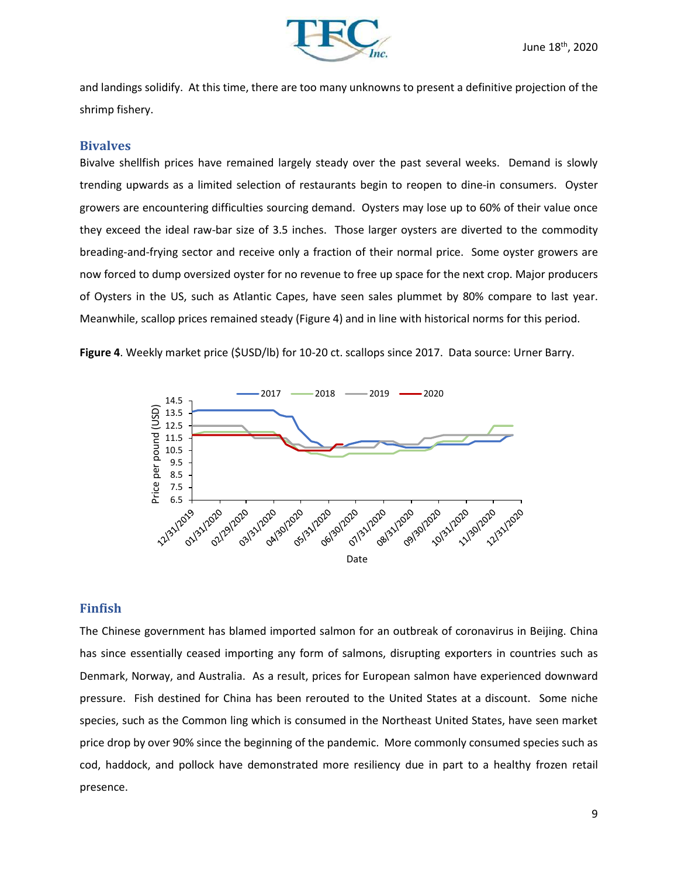

and landings solidify. At this time, there are too many unknowns to present a definitive projection of the shrimp fishery.

#### **Bivalves**

Bivalve shellfish prices have remained largely steady over the past several weeks. Demand is slowly trending upwards as a limited selection of restaurants begin to reopen to dine-in consumers. Oyster growers are encountering difficulties sourcing demand. Oysters may lose up to 60% of their value once they exceed the ideal raw-bar size of 3.5 inches. Those larger oysters are diverted to the commodity breading-and-frying sector and receive only a fraction of their normal price. Some oyster growers are now forced to dump oversized oyster for no revenue to free up space for the next crop. Major producers of Oysters in the US, such as Atlantic Capes, have seen sales plummet by 80% compare to last year. Meanwhile, scallop prices remained steady (Figure 4) and in line with historical norms for this period.

**Figure 4**. Weekly market price (\$USD/lb) for 10-20 ct. scallops since 2017. Data source: Urner Barry.



### **Finfish**

The Chinese government has blamed imported salmon for an outbreak of coronavirus in Beijing. China has since essentially ceased importing any form of salmons, disrupting exporters in countries such as Denmark, Norway, and Australia. As a result, prices for European salmon have experienced downward pressure. Fish destined for China has been rerouted to the United States at a discount. Some niche species, such as the Common ling which is consumed in the Northeast United States, have seen market price drop by over 90% since the beginning of the pandemic. More commonly consumed species such as cod, haddock, and pollock have demonstrated more resiliency due in part to a healthy frozen retail presence.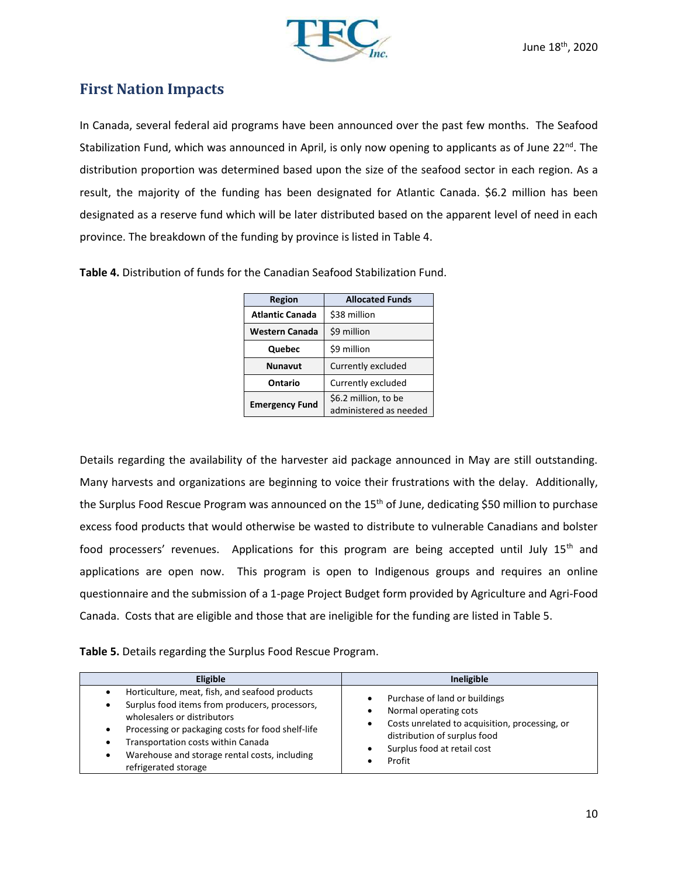

# **First Nation Impacts**

In Canada, several federal aid programs have been announced over the past few months. The Seafood Stabilization Fund, which was announced in April, is only now opening to applicants as of June 22<sup>nd</sup>. The distribution proportion was determined based upon the size of the seafood sector in each region. As a result, the majority of the funding has been designated for Atlantic Canada. \$6.2 million has been designated as a reserve fund which will be later distributed based on the apparent level of need in each province. The breakdown of the funding by province is listed in Table 4.

|  |  |  | Table 4. Distribution of funds for the Canadian Seafood Stabilization Fund. |  |
|--|--|--|-----------------------------------------------------------------------------|--|
|  |  |  |                                                                             |  |

| Region                 | <b>Allocated Funds</b>                         |  |  |
|------------------------|------------------------------------------------|--|--|
| <b>Atlantic Canada</b> | \$38 million                                   |  |  |
| <b>Western Canada</b>  | \$9 million                                    |  |  |
| Quebec                 | \$9 million                                    |  |  |
| <b>Nunavut</b>         | Currently excluded                             |  |  |
| Ontario                | Currently excluded                             |  |  |
| <b>Emergency Fund</b>  | \$6.2 million, to be<br>administered as needed |  |  |

Details regarding the availability of the harvester aid package announced in May are still outstanding. Many harvests and organizations are beginning to voice their frustrations with the delay. Additionally, the Surplus Food Rescue Program was announced on the 15<sup>th</sup> of June, dedicating \$50 million to purchase excess food products that would otherwise be wasted to distribute to vulnerable Canadians and bolster food processers' revenues. Applications for this program are being accepted until July 15<sup>th</sup> and applications are open now. This program is open to Indigenous groups and requires an online questionnaire and the submission of a 1-page Project Budget form provided by Agriculture and Agri-Food Canada. Costs that are eligible and those that are ineligible for the funding are listed in Table 5.

**Table 5.** Details regarding the Surplus Food Rescue Program.

| <b>Eligible</b>                                                                                                                                                                                                                                                                                          | Ineligible                                                                                                                                                                        |
|----------------------------------------------------------------------------------------------------------------------------------------------------------------------------------------------------------------------------------------------------------------------------------------------------------|-----------------------------------------------------------------------------------------------------------------------------------------------------------------------------------|
| Horticulture, meat, fish, and seafood products<br>Surplus food items from producers, processors,<br>wholesalers or distributors<br>Processing or packaging costs for food shelf-life<br>Transportation costs within Canada<br>Warehouse and storage rental costs, including<br>٠<br>refrigerated storage | Purchase of land or buildings<br>Normal operating cots<br>Costs unrelated to acquisition, processing, or<br>distribution of surplus food<br>Surplus food at retail cost<br>Profit |